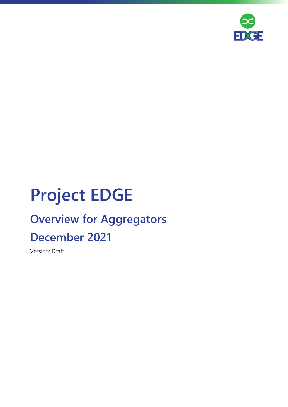

# **Project EDGE**

## **Overview for Aggregators December 2021**

Version: Draft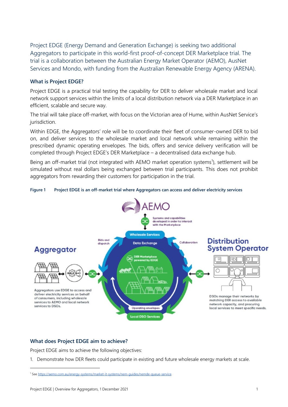Project EDGE (Energy Demand and Generation Exchange) is seeking two additional Aggregators to participate in this world-first proof-of-concept DER Marketplace trial. The trial is a collaboration between the Australian Energy Market Operator (AEMO), AusNet Services and Mondo, with funding from the Australian Renewable Energy Agency (ARENA).

### **What is Project EDGE?**

Project EDGE is a practical trial testing the capability for DER to deliver wholesale market and local network support services within the limits of a local distribution network via a DER Marketplace in an efficient, scalable and secure way.

The trial will take place off-market, with focus on the Victorian area of Hume, within AusNet Service's jurisdiction.

Within EDGE, the Aggregators' role will be to coordinate their fleet of consumer-owned DER to bid on, and deliver services to the wholesale market and local network while remaining within the prescribed dynamic operating envelopes. The bids, offers and service delivery verification will be completed through Project EDGE's DER Marketplace – a decentralised data exchange hub.

Being an off-market trial (not integrated with AEMO market operation systems<sup>1</sup>), settlement will be simulated without real dollars being exchanged between trial participants. This does not prohibit aggregators from rewarding their customers for participation in the trial.





#### **What does Project EDGE aim to achieve?**

Project EDGE aims to achieve the following objectives:

1. Demonstrate how DER fleets could participate in existing and future wholesale energy markets at scale.

<sup>1</sup> Se[e https://aemo.com.au/energy-systems/market-it-systems/nem-guides/nemde-queue-service.](https://aemo.com.au/energy-systems/market-it-systems/nem-guides/nemde-queue-service)